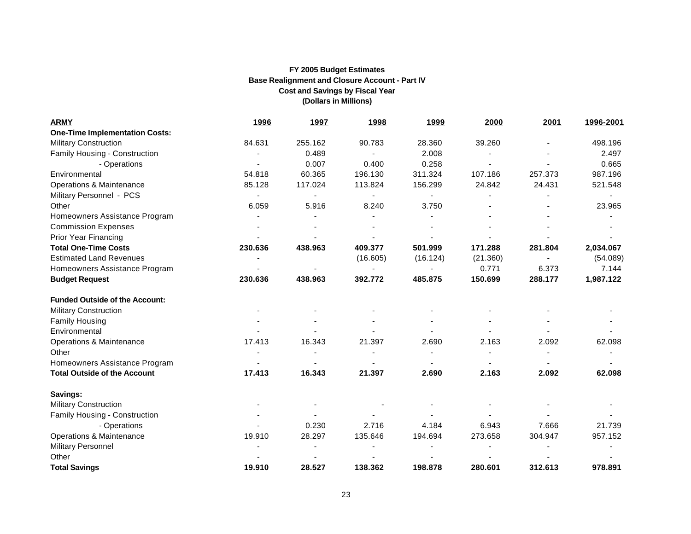| <b>ARMY</b>                           | <u>1996</u>                  | 1997           | <u>1998</u> | <u>1999</u>                  | 2000     | 2001    | 1996-2001 |
|---------------------------------------|------------------------------|----------------|-------------|------------------------------|----------|---------|-----------|
| <b>One-Time Implementation Costs:</b> |                              |                |             |                              |          |         |           |
| <b>Military Construction</b>          | 84.631                       | 255.162        | 90.783      | 28.360                       | 39.260   |         | 498.196   |
| Family Housing - Construction         |                              | 0.489          |             | 2.008                        |          |         | 2.497     |
| - Operations                          |                              | 0.007          | 0.400       | 0.258                        |          |         | 0.665     |
| Environmental                         | 54.818                       | 60.365         | 196.130     | 311.324                      | 107.186  | 257.373 | 987.196   |
| Operations & Maintenance              | 85.128                       | 117.024        | 113.824     | 156.299                      | 24.842   | 24.431  | 521.548   |
| Military Personnel - PCS              | $\qquad \qquad \blacksquare$ | $\blacksquare$ |             | $\qquad \qquad \blacksquare$ |          |         |           |
| Other                                 | 6.059                        | 5.916          | 8.240       | 3.750                        |          |         | 23.965    |
| Homeowners Assistance Program         |                              |                |             |                              |          |         |           |
| <b>Commission Expenses</b>            |                              |                |             |                              |          |         |           |
| <b>Prior Year Financing</b>           |                              |                |             |                              |          |         |           |
| <b>Total One-Time Costs</b>           | 230.636                      | 438.963        | 409.377     | 501.999                      | 171.288  | 281.804 | 2,034.067 |
| <b>Estimated Land Revenues</b>        |                              |                | (16.605)    | (16.124)                     | (21.360) |         | (54.089)  |
| Homeowners Assistance Program         |                              |                |             | $\blacksquare$               | 0.771    | 6.373   | 7.144     |
| <b>Budget Request</b>                 | 230.636                      | 438.963        | 392.772     | 485.875                      | 150.699  | 288.177 | 1,987.122 |
| <b>Funded Outside of the Account:</b> |                              |                |             |                              |          |         |           |
| <b>Military Construction</b>          |                              |                |             |                              |          |         |           |
| <b>Family Housing</b>                 |                              |                |             |                              |          |         |           |
| Environmental                         |                              |                |             |                              |          |         |           |
| Operations & Maintenance              | 17.413                       | 16.343         | 21.397      | 2.690                        | 2.163    | 2.092   | 62.098    |
| Other                                 |                              |                |             |                              |          |         |           |
| Homeowners Assistance Program         |                              |                |             |                              |          |         |           |
| <b>Total Outside of the Account</b>   | 17.413                       | 16.343         | 21.397      | 2.690                        | 2.163    | 2.092   | 62.098    |
| Savings:                              |                              |                |             |                              |          |         |           |
| <b>Military Construction</b>          |                              |                |             |                              |          |         |           |
| Family Housing - Construction         |                              |                |             |                              |          |         |           |
| - Operations                          |                              | 0.230          | 2.716       | 4.184                        | 6.943    | 7.666   | 21.739    |
| Operations & Maintenance              | 19.910                       | 28.297         | 135.646     | 194.694                      | 273.658  | 304.947 | 957.152   |
| <b>Military Personnel</b>             |                              |                |             |                              |          |         |           |
| Other                                 |                              |                |             |                              |          |         |           |
| <b>Total Savings</b>                  | 19.910                       | 28.527         | 138.362     | 198.878                      | 280.601  | 312.613 | 978.891   |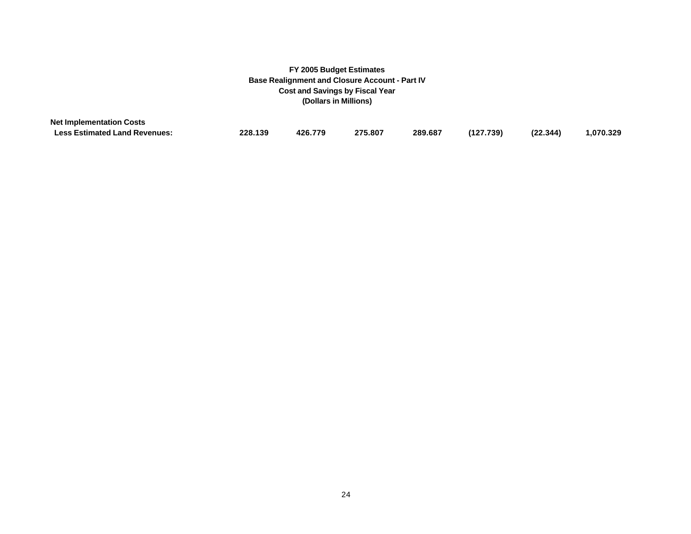| <b>Net Implementation Costs</b>      |         |         |         |         |           |          |           |
|--------------------------------------|---------|---------|---------|---------|-----------|----------|-----------|
| <b>Less Estimated Land Revenues:</b> | 228.139 | 426.779 | 275.807 | 289.687 | (127.739) | (22.344) | 1,070.329 |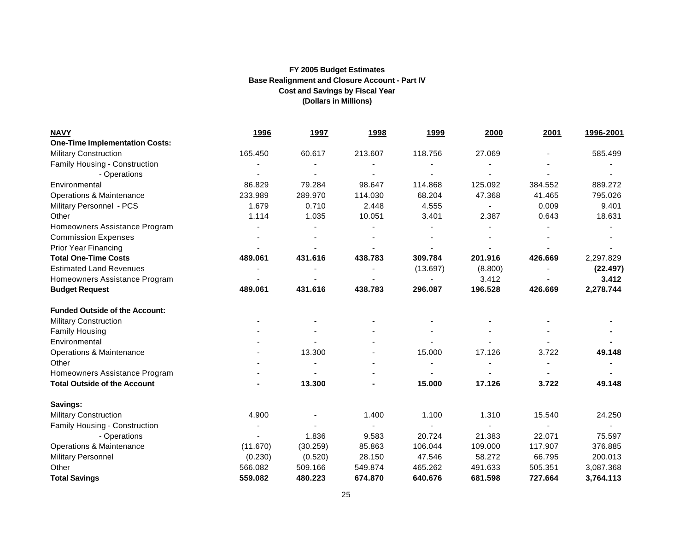| <b>NAVY</b>                           | <u>1996</u> | <u>1997</u> | <u>1998</u> | <u>1999</u> | 2000                     | 2001    | 1996-2001 |
|---------------------------------------|-------------|-------------|-------------|-------------|--------------------------|---------|-----------|
| <b>One-Time Implementation Costs:</b> |             |             |             |             |                          |         |           |
| <b>Military Construction</b>          | 165.450     | 60.617      | 213.607     | 118.756     | 27.069                   |         | 585.499   |
| Family Housing - Construction         |             |             |             |             |                          |         |           |
| - Operations                          |             |             |             |             |                          |         |           |
| Environmental                         | 86.829      | 79.284      | 98.647      | 114.868     | 125.092                  | 384.552 | 889.272   |
| <b>Operations &amp; Maintenance</b>   | 233.989     | 289.970     | 114.030     | 68.204      | 47.368                   | 41.465  | 795.026   |
| Military Personnel - PCS              | 1.679       | 0.710       | 2.448       | 4.555       | $\overline{\phantom{a}}$ | 0.009   | 9.401     |
| Other                                 | 1.114       | 1.035       | 10.051      | 3.401       | 2.387                    | 0.643   | 18.631    |
| Homeowners Assistance Program         |             |             |             |             |                          |         |           |
| <b>Commission Expenses</b>            |             |             |             |             |                          |         |           |
| Prior Year Financing                  |             |             |             |             |                          |         |           |
| <b>Total One-Time Costs</b>           | 489.061     | 431.616     | 438.783     | 309.784     | 201.916                  | 426.669 | 2,297.829 |
| <b>Estimated Land Revenues</b>        |             |             |             | (13.697)    | (8.800)                  |         | (22.497)  |
| Homeowners Assistance Program         |             |             |             |             | 3.412                    |         | 3.412     |
| <b>Budget Request</b>                 | 489.061     | 431.616     | 438.783     | 296.087     | 196.528                  | 426.669 | 2,278.744 |
| <b>Funded Outside of the Account:</b> |             |             |             |             |                          |         |           |
| <b>Military Construction</b>          |             |             |             |             |                          |         |           |
| <b>Family Housing</b>                 |             |             |             |             |                          |         |           |
| Environmental                         |             |             |             |             |                          |         |           |
| <b>Operations &amp; Maintenance</b>   |             | 13.300      |             | 15.000      | 17.126                   | 3.722   | 49.148    |
| Other                                 |             |             |             |             |                          |         |           |
| Homeowners Assistance Program         |             |             |             |             |                          |         |           |
| <b>Total Outside of the Account</b>   |             | 13.300      |             | 15.000      | 17.126                   | 3.722   | 49.148    |
| Savings:                              |             |             |             |             |                          |         |           |
| <b>Military Construction</b>          | 4.900       |             | 1.400       | 1.100       | 1.310                    | 15.540  | 24.250    |
| Family Housing - Construction         |             |             |             |             |                          |         |           |
| - Operations                          |             | 1.836       | 9.583       | 20.724      | 21.383                   | 22.071  | 75.597    |
| Operations & Maintenance              | (11.670)    | (30.259)    | 85.863      | 106.044     | 109.000                  | 117.907 | 376.885   |
| <b>Military Personnel</b>             | (0.230)     | (0.520)     | 28.150      | 47.546      | 58.272                   | 66.795  | 200.013   |
| Other                                 | 566.082     | 509.166     | 549.874     | 465.262     | 491.633                  | 505.351 | 3,087.368 |
| <b>Total Savings</b>                  | 559.082     | 480.223     | 674.870     | 640.676     | 681.598                  | 727.664 | 3,764.113 |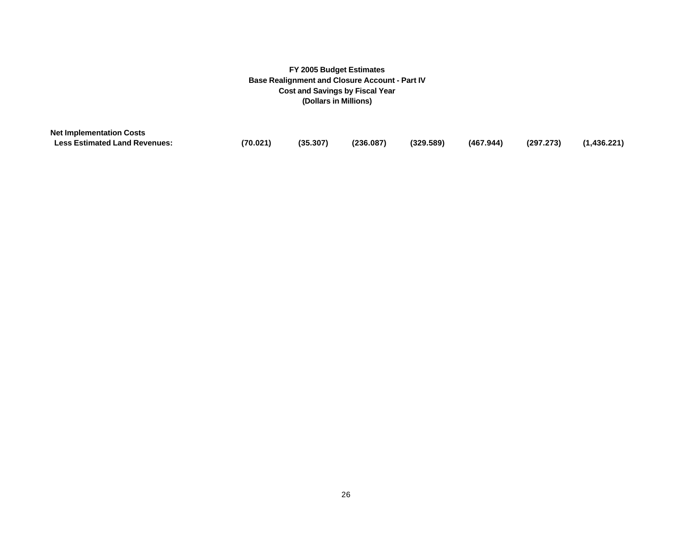| <b>Net Implementation Costs</b>      |          |          |           |           |           |           |             |
|--------------------------------------|----------|----------|-----------|-----------|-----------|-----------|-------------|
| <b>Less Estimated Land Revenues:</b> | (70.021) | (35.307) | (236.087) | (329.589) | (467.944) | (297.273) | (1,436.221) |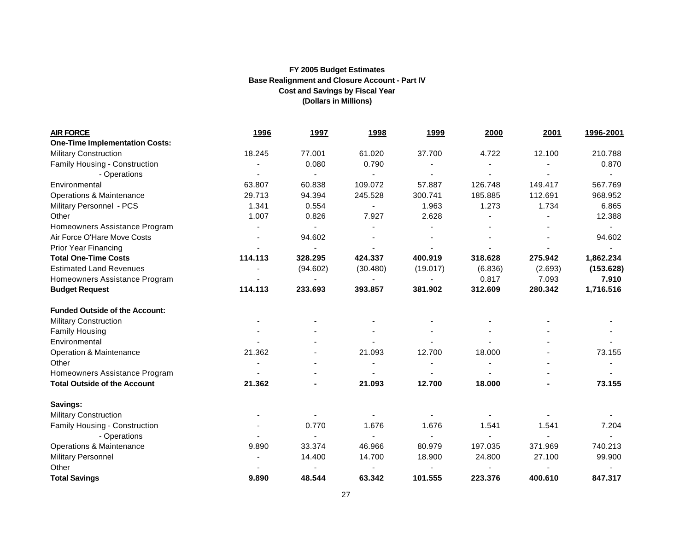| <b>AIR FORCE</b>                      | <u>1996</u> | <u>1997</u> | <u>1998</u>    | <u>1999</u> | 2000    | 2001    | 1996-2001 |
|---------------------------------------|-------------|-------------|----------------|-------------|---------|---------|-----------|
| <b>One-Time Implementation Costs:</b> |             |             |                |             |         |         |           |
| <b>Military Construction</b>          | 18.245      | 77.001      | 61.020         | 37.700      | 4.722   | 12.100  | 210.788   |
| Family Housing - Construction         |             | 0.080       | 0.790          |             |         |         | 0.870     |
| - Operations                          |             |             |                |             |         |         |           |
| Environmental                         | 63.807      | 60.838      | 109.072        | 57.887      | 126.748 | 149.417 | 567.769   |
| Operations & Maintenance              | 29.713      | 94.394      | 245.528        | 300.741     | 185.885 | 112.691 | 968.952   |
| Military Personnel - PCS              | 1.341       | 0.554       | $\blacksquare$ | 1.963       | 1.273   | 1.734   | 6.865     |
| Other                                 | 1.007       | 0.826       | 7.927          | 2.628       |         |         | 12.388    |
| Homeowners Assistance Program         |             |             |                |             |         |         |           |
| Air Force O'Hare Move Costs           |             | 94.602      |                |             |         |         | 94.602    |
| <b>Prior Year Financing</b>           |             |             |                |             |         |         |           |
| <b>Total One-Time Costs</b>           | 114.113     | 328.295     | 424.337        | 400.919     | 318.628 | 275.942 | 1,862.234 |
| <b>Estimated Land Revenues</b>        |             | (94.602)    | (30.480)       | (19.017)    | (6.836) | (2.693) | (153.628) |
| Homeowners Assistance Program         |             |             |                |             | 0.817   | 7.093   | 7.910     |
| <b>Budget Request</b>                 | 114.113     | 233.693     | 393.857        | 381.902     | 312.609 | 280.342 | 1,716.516 |
| <b>Funded Outside of the Account:</b> |             |             |                |             |         |         |           |
| <b>Military Construction</b>          |             |             |                |             |         |         |           |
| <b>Family Housing</b>                 |             |             |                |             |         |         |           |
| Environmental                         |             |             |                |             |         |         |           |
| Operation & Maintenance               | 21.362      |             | 21.093         | 12.700      | 18.000  |         | 73.155    |
| Other                                 |             |             | $\blacksquare$ |             |         |         |           |
| Homeowners Assistance Program         |             |             |                |             |         |         |           |
| <b>Total Outside of the Account</b>   | 21.362      |             | 21.093         | 12.700      | 18.000  |         | 73.155    |
| Savings:                              |             |             |                |             |         |         |           |
| <b>Military Construction</b>          |             |             |                |             |         |         |           |
| Family Housing - Construction         |             | 0.770       | 1.676          | 1.676       | 1.541   | 1.541   | 7.204     |
| - Operations                          |             |             |                |             |         |         |           |
| Operations & Maintenance              | 9.890       | 33.374      | 46.966         | 80.979      | 197.035 | 371.969 | 740.213   |
| <b>Military Personnel</b>             |             | 14.400      | 14.700         | 18.900      | 24.800  | 27.100  | 99.900    |
| Other                                 |             |             |                |             |         |         |           |
| <b>Total Savings</b>                  | 9.890       | 48.544      | 63.342         | 101.555     | 223.376 | 400.610 | 847.317   |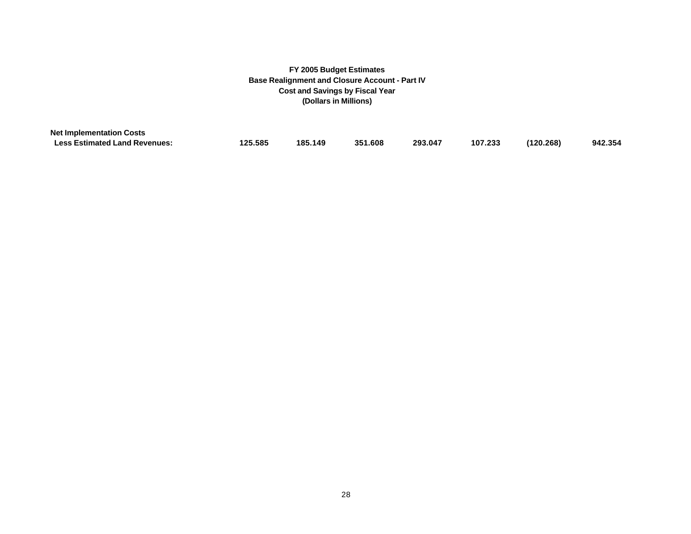| <b>Net Implementation Costs</b>      |         |         |         |         |         |           |         |
|--------------------------------------|---------|---------|---------|---------|---------|-----------|---------|
| <b>Less Estimated Land Revenues:</b> | 125.585 | 185.149 | 351.608 | 293.047 | 107.233 | (120.268) | 942.354 |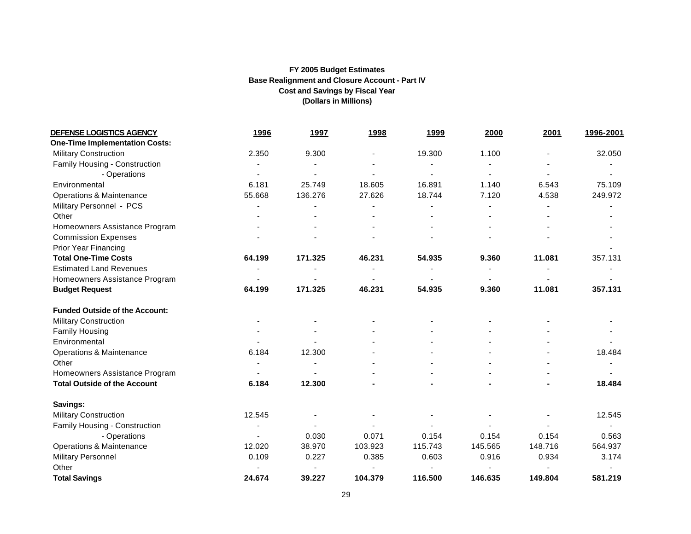| <b>DEFENSE LOGISTICS AGENCY</b>       | <u>1996</u>    | <u>1997</u> | <u>1998</u> | <u>1999</u> | 2000           | 2001    | 1996-2001 |
|---------------------------------------|----------------|-------------|-------------|-------------|----------------|---------|-----------|
| <b>One-Time Implementation Costs:</b> |                |             |             |             |                |         |           |
| <b>Military Construction</b>          | 2.350          | 9.300       |             | 19.300      | 1.100          |         | 32.050    |
| Family Housing - Construction         |                |             |             |             |                |         |           |
| - Operations                          |                |             |             |             | $\blacksquare$ |         |           |
| Environmental                         | 6.181          | 25.749      | 18.605      | 16.891      | 1.140          | 6.543   | 75.109    |
| Operations & Maintenance              | 55.668         | 136.276     | 27.626      | 18.744      | 7.120          | 4.538   | 249.972   |
| Military Personnel - PCS              |                |             |             |             |                |         |           |
| Other                                 |                |             |             |             |                |         |           |
| Homeowners Assistance Program         |                |             |             |             |                |         |           |
| <b>Commission Expenses</b>            |                |             |             |             |                |         |           |
| <b>Prior Year Financing</b>           |                |             |             |             |                |         |           |
| <b>Total One-Time Costs</b>           | 64.199         | 171.325     | 46.231      | 54.935      | 9.360          | 11.081  | 357.131   |
| <b>Estimated Land Revenues</b>        |                |             |             |             |                |         |           |
| Homeowners Assistance Program         |                |             |             |             |                |         |           |
| <b>Budget Request</b>                 | 64.199         | 171.325     | 46.231      | 54.935      | 9.360          | 11.081  | 357.131   |
| <b>Funded Outside of the Account:</b> |                |             |             |             |                |         |           |
| <b>Military Construction</b>          |                |             |             |             |                |         |           |
| <b>Family Housing</b>                 |                |             |             |             |                |         |           |
| Environmental                         |                |             |             |             |                |         |           |
| Operations & Maintenance              | 6.184          | 12.300      |             |             |                |         | 18.484    |
| Other                                 |                |             |             |             |                |         |           |
| Homeowners Assistance Program         |                |             |             |             |                |         |           |
| <b>Total Outside of the Account</b>   | 6.184          | 12.300      |             |             |                |         | 18.484    |
| Savings:                              |                |             |             |             |                |         |           |
| <b>Military Construction</b>          | 12.545         |             |             |             |                |         | 12.545    |
| Family Housing - Construction         |                |             |             |             |                |         |           |
| - Operations                          | $\overline{a}$ | 0.030       | 0.071       | 0.154       | 0.154          | 0.154   | 0.563     |
| Operations & Maintenance              | 12.020         | 38.970      | 103.923     | 115.743     | 145.565        | 148.716 | 564.937   |
| <b>Military Personnel</b>             | 0.109          | 0.227       | 0.385       | 0.603       | 0.916          | 0.934   | 3.174     |
| Other                                 |                |             |             |             |                |         |           |
| <b>Total Savings</b>                  | 24.674         | 39.227      | 104.379     | 116.500     | 146.635        | 149.804 | 581.219   |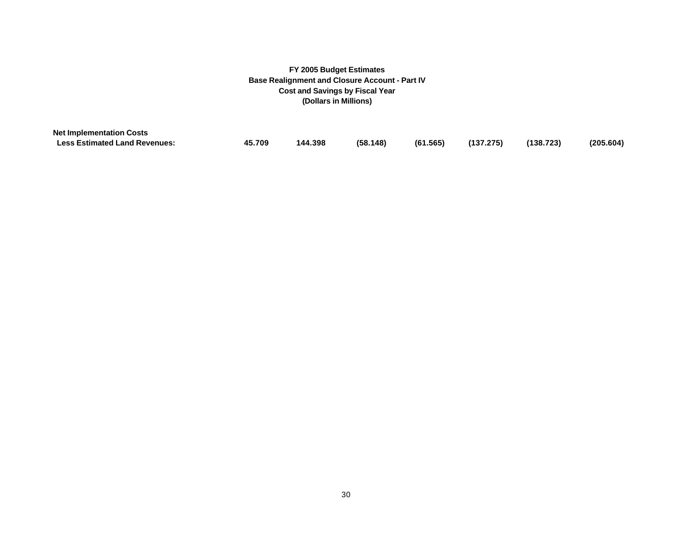| <b>Net Implementation Costs</b>      |        |         |          |                        |           |           |
|--------------------------------------|--------|---------|----------|------------------------|-----------|-----------|
| <b>Less Estimated Land Revenues:</b> | 45.709 | 144.398 | (58.148) | $(61.565)$ $(137.275)$ | (138.723) | (205.604) |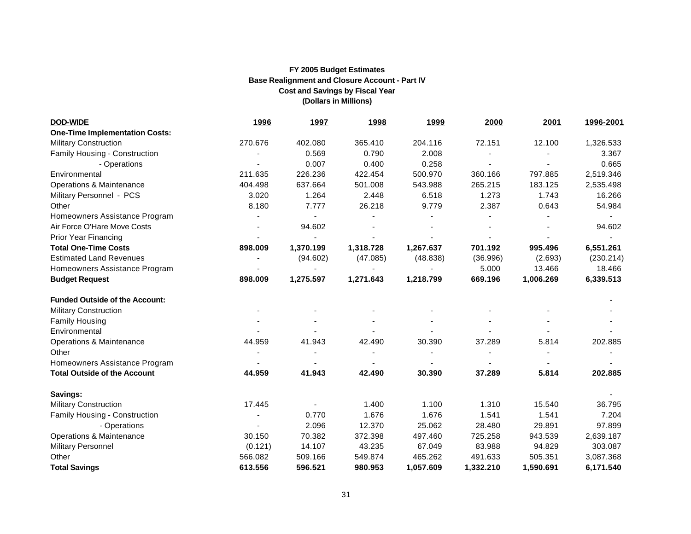| <b>DOD-WIDE</b>                       | <u>1996</u> | <u>1997</u> | <u>1998</u> | <u>1999</u> | 2000      | 2001      | 1996-2001 |
|---------------------------------------|-------------|-------------|-------------|-------------|-----------|-----------|-----------|
| <b>One-Time Implementation Costs:</b> |             |             |             |             |           |           |           |
| <b>Military Construction</b>          | 270.676     | 402.080     | 365.410     | 204.116     | 72.151    | 12.100    | 1,326.533 |
| Family Housing - Construction         |             | 0.569       | 0.790       | 2.008       |           |           | 3.367     |
| - Operations                          |             | 0.007       | 0.400       | 0.258       |           |           | 0.665     |
| Environmental                         | 211.635     | 226.236     | 422.454     | 500.970     | 360.166   | 797.885   | 2,519.346 |
| Operations & Maintenance              | 404.498     | 637.664     | 501.008     | 543.988     | 265.215   | 183.125   | 2,535.498 |
| Military Personnel - PCS              | 3.020       | 1.264       | 2.448       | 6.518       | 1.273     | 1.743     | 16.266    |
| Other                                 | 8.180       | 7.777       | 26.218      | 9.779       | 2.387     | 0.643     | 54.984    |
| Homeowners Assistance Program         |             |             |             |             |           |           |           |
| Air Force O'Hare Move Costs           |             | 94.602      |             |             |           |           | 94.602    |
| <b>Prior Year Financing</b>           |             |             |             |             |           |           |           |
| <b>Total One-Time Costs</b>           | 898.009     | 1,370.199   | 1,318.728   | 1,267.637   | 701.192   | 995.496   | 6,551.261 |
| <b>Estimated Land Revenues</b>        |             | (94.602)    | (47.085)    | (48.838)    | (36.996)  | (2.693)   | (230.214) |
| Homeowners Assistance Program         |             |             |             |             | 5.000     | 13.466    | 18.466    |
| <b>Budget Request</b>                 | 898.009     | 1,275.597   | 1,271.643   | 1,218.799   | 669.196   | 1,006.269 | 6,339.513 |
| <b>Funded Outside of the Account:</b> |             |             |             |             |           |           |           |
| <b>Military Construction</b>          |             |             |             |             |           |           |           |
| <b>Family Housing</b>                 |             |             |             |             |           |           |           |
| Environmental                         |             |             |             |             |           |           |           |
| Operations & Maintenance              | 44.959      | 41.943      | 42.490      | 30.390      | 37.289    | 5.814     | 202.885   |
| Other                                 |             |             |             |             |           |           |           |
| Homeowners Assistance Program         |             |             |             |             |           |           |           |
| <b>Total Outside of the Account</b>   | 44.959      | 41.943      | 42.490      | 30.390      | 37.289    | 5.814     | 202.885   |
| Savings:                              |             |             |             |             |           |           |           |
| <b>Military Construction</b>          | 17.445      |             | 1.400       | 1.100       | 1.310     | 15.540    | 36.795    |
| Family Housing - Construction         |             | 0.770       | 1.676       | 1.676       | 1.541     | 1.541     | 7.204     |
| - Operations                          |             | 2.096       | 12.370      | 25.062      | 28.480    | 29.891    | 97.899    |
| Operations & Maintenance              | 30.150      | 70.382      | 372.398     | 497.460     | 725.258   | 943.539   | 2,639.187 |
| <b>Military Personnel</b>             | (0.121)     | 14.107      | 43.235      | 67.049      | 83.988    | 94.829    | 303.087   |
| Other                                 | 566.082     | 509.166     | 549.874     | 465.262     | 491.633   | 505.351   | 3,087.368 |
| <b>Total Savings</b>                  | 613.556     | 596.521     | 980.953     | 1,057.609   | 1,332.210 | 1,590.691 | 6,171.540 |